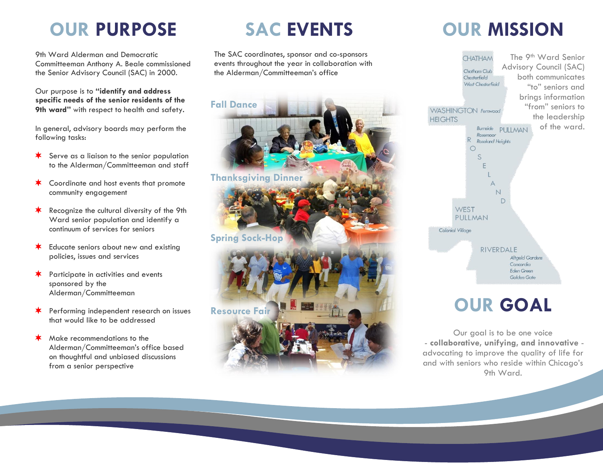## **OUR PURPOSE**

9th Ward Alderman and Democratic Committeeman Anthony A. Beale commissioned the Senior Advisory Council (SAC) in 2000.

Our purpose is to **"identify and address specific needs of the senior residents of the 9th ward"** with respect to health and safety.

In general, advisory boards may perform the following tasks:

- Serve as a liaison to the senior population to the Alderman/Committeeman and staff
- Coordinate and host events that promote community engagement
- Recognize the cultural diversity of the 9th Ward senior population and identify a continuum of services for seniors
- Educate seniors about new and existing policies, issues and services
- Participate in activities and events sponsored by the Alderman/Committeeman
- Performing independent research on issues ∗ that would like to be addressed
- Make recommendations to the Alderman/Committeeman's office based on thoughtful and unbiased discussions from a senior perspective

## **SAC EVENTS**

The SAC coordinates, sponsor and co-sponsors events throughout the year in collaboration with the Alderman/Committeeman's office



## **OUR MISSION**



#### **OUR GOAL**

Our goal is to be one voice - **collaborative, unifying, and innovative** advocating to improve the quality of life for and with seniors who reside within Chicago's 9th Ward.